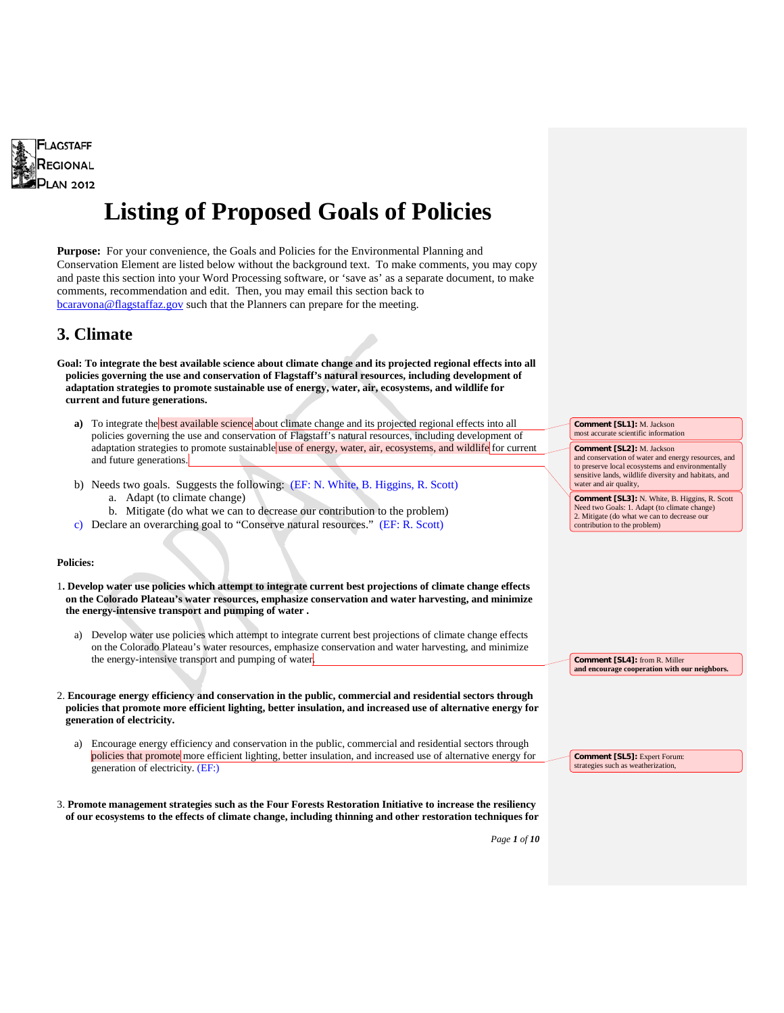

# **Listing of Proposed Goals of Policies**

**Purpose:** For your convenience, the Goals and Policies for the Environmental Planning and Conservation Element are listed below without the background text. To make comments, you may copy and paste this section into your Word Processing software, or 'save as' as a separate document, to make comments, recommendation and edit. Then, you may email this section back to [bcaravona@flagstaffaz.gov](mailto:bcaravona@flagstaffaz.gov) such that the Planners can prepare for the meeting.

### **3. Climate**

**Goal: To integrate the best available science about climate change and its projected regional effects into all policies governing the use and conservation of Flagstaff's natural resources, including development of adaptation strategies to promote sustainable use of energy, water, air, ecosystems, and wildlife for current and future generations.**

- **a)** To integrate the best available science about climate change and its projected regional effects into all policies governing the use and conservation of Flagstaff's natural resources, including development of adaptation strategies to promote sustainable use of energy, water, air, ecosystems, and wildlife for current and future generations.
- b) Needs two goals. Suggests the following: (EF: N. White, B. Higgins, R. Scott) a. Adapt (to climate change)
	- b. Mitigate (do what we can to decrease our contribution to the problem)
- c) Declare an overarching goal to "Conserve natural resources." (EF: R. Scott)

#### **Policies:**

- 1**. Develop water use policies which attempt to integrate current best projections of climate change effects on the Colorado Plateau's water resources, emphasize conservation and water harvesting, and minimize the energy-intensive transport and pumping of water .**
	- a) Develop water use policies which attempt to integrate current best projections of climate change effects on the Colorado Plateau's water resources, emphasize conservation and water harvesting, and minimize the energy-intensive transport and pumping of water.
- 2. **Encourage energy efficiency and conservation in the public, commercial and residential sectors through policies that promote more efficient lighting, better insulation, and increased use of alternative energy for generation of electricity.**
	- a) Encourage energy efficiency and conservation in the public, commercial and residential sectors through policies that promote more efficient lighting, better insulation, and increased use of alternative energy for generation of electricity. (EF:)
- 3. **Promote management strategies such as the Four Forests Restoration Initiative to increase the resiliency of our ecosystems to the effects of climate change, including thinning and other restoration techniques for**

**Comment [SL1]:** M. Jackson most accurate scientific information

water and air quality.

**Comment [SL2]:** M. Jackson and conservation of water and energy resources, and to preserve local ecosystems and environmentally sensitive lands, wildlife diversity and habitats, and

**Comment [SL3]:** N. White, B. Higgins, R. Scott Need two Goals: 1. Adapt (to climate change) 2. Mitigate (do what we can to decrease our contribution to the problem)

**Comment [SL4]:** from R. Miller **and encourage cooperation with our neighbors.**

**Comment [SL5]:** Expert Forum: strategies such as weatherization,

*Page 1 of 10*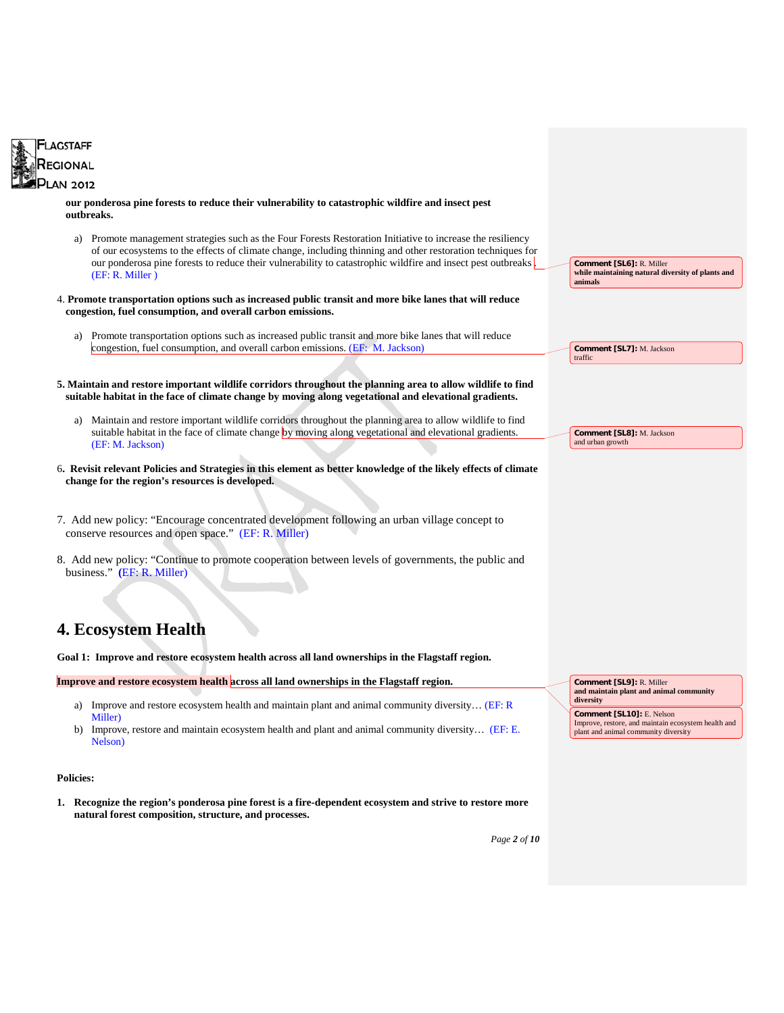

**our ponderosa pine forests to reduce their vulnerability to catastrophic wildfire and insect pest outbreaks.**

- a) Promote management strategies such as the Four Forests Restoration Initiative to increase the resiliency of our ecosystems to the effects of climate change, including thinning and other restoration techniques for our ponderosa pine forests to reduce their vulnerability to catastrophic wildfire and insect pest outbreaks . (EF: R. Miller )
- 4. **Promote transportation options such as increased public transit and more bike lanes that will reduce congestion, fuel consumption, and overall carbon emissions.**
	- a) Promote transportation options such as increased public transit and more bike lanes that will reduce congestion, fuel consumption, and overall carbon emissions. (EF: M. Jackson)
- **5. Maintain and restore important wildlife corridors throughout the planning area to allow wildlife to find suitable habitat in the face of climate change by moving along vegetational and elevational gradients.**
	- a) Maintain and restore important wildlife corridors throughout the planning area to allow wildlife to find suitable habitat in the face of climate change by moving along vegetational and elevational gradients. (EF: M. Jackson)
- 6**. Revisit relevant Policies and Strategies in this element as better knowledge of the likely effects of climate change for the region's resources is developed.**
- 7. Add new policy: "Encourage concentrated development following an urban village concept to conserve resources and open space." (EF: R. Miller)
- 8. Add new policy: "Continue to promote cooperation between levels of governments, the public and business." **(**EF: R. Miller)

# **4. Ecosystem Health**

**Goal 1: Improve and restore ecosystem health across all land ownerships in the Flagstaff region.**

Improve and restore ecosystem health across all land ownerships in the Flagstaff region.

- a) Improve and restore ecosystem health and maintain plant and animal community diversity… (EF: R Miller)
- b) Improve, restore and maintain ecosystem health and plant and animal community diversity... (EF: E. Nelson)

#### **Policies:**

**1. Recognize the region's ponderosa pine forest is a fire-dependent ecosystem and strive to restore more natural forest composition, structure, and processes.**

*Page 2 of 10*

**Comment [SL6]:** R. Miller

**Comment [SL7]:** M. Jackson

**Comment [SL8]:** M. Jackson and urban growth

**Comment [SL9]:** R. Miller **and maintain plant and animal community** 

**Comment [SL10]:** E. Nelson

Improve, restore, and maintain ecosystem health and plant and animal community diversity

**diversity**

**animals**

traffic

**while maintaining natural diversity of plants and**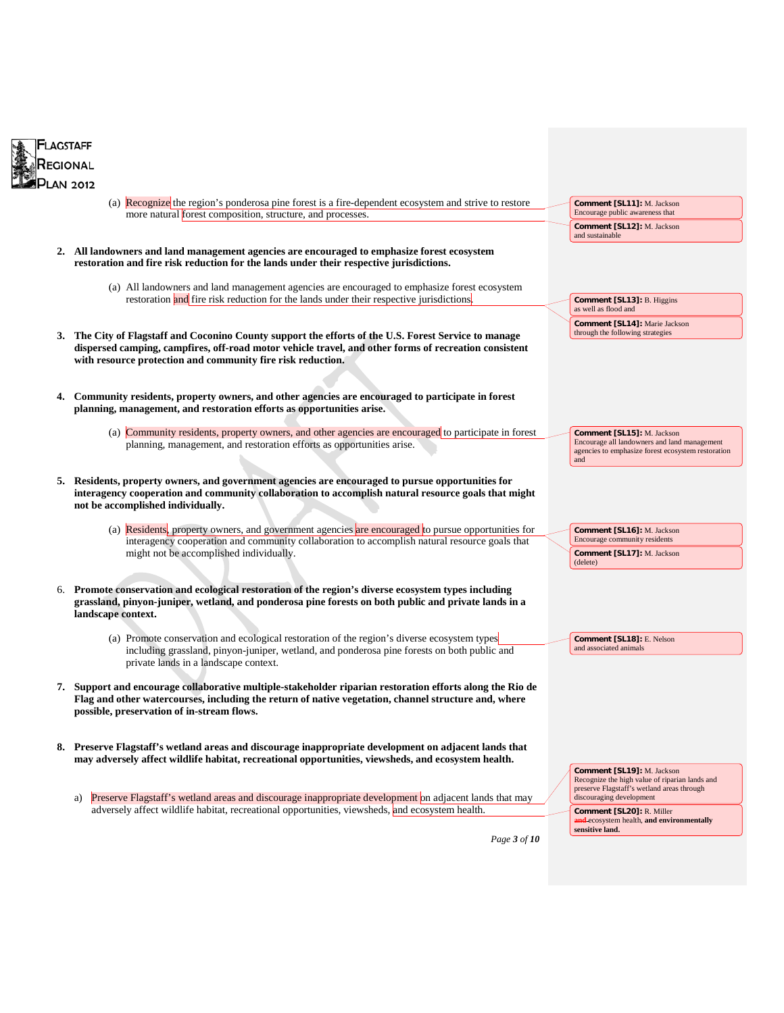



*Page 3 of 10*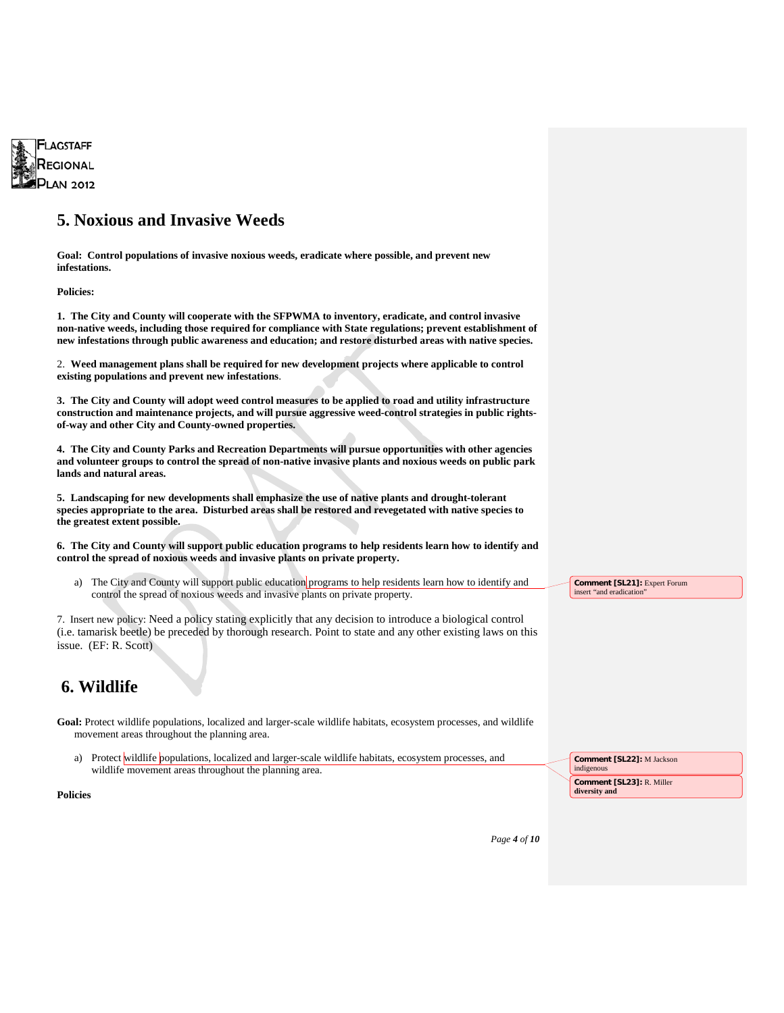

### **5. Noxious and Invasive Weeds**

**Goal: Control populations of invasive noxious weeds, eradicate where possible, and prevent new infestations.**

**Policies:**

**1. The City and County will cooperate with the SFPWMA to inventory, eradicate, and control invasive non-native weeds, including those required for compliance with State regulations; prevent establishment of new infestations through public awareness and education; and restore disturbed areas with native species.**

2. **Weed management plans shall be required for new development projects where applicable to control existing populations and prevent new infestations**.

**3. The City and County will adopt weed control measures to be applied to road and utility infrastructure construction and maintenance projects, and will pursue aggressive weed-control strategies in public rightsof-way and other City and County-owned properties.**

**4. The City and County Parks and Recreation Departments will pursue opportunities with other agencies and volunteer groups to control the spread of non-native invasive plants and noxious weeds on public park lands and natural areas.**

**5. Landscaping for new developments shall emphasize the use of native plants and drought-tolerant species appropriate to the area. Disturbed areas shall be restored and revegetated with native species to the greatest extent possible.**

**6. The City and County will support public education programs to help residents learn how to identify and control the spread of noxious weeds and invasive plants on private property.**

a) The City and County will support public education programs to help residents learn how to identify and control the spread of noxious weeds and invasive plants on private property.

7. Insert new policy: Need a policy stating explicitly that any decision to introduce a biological control (i.e. tamarisk beetle) be preceded by thorough research. Point to state and any other existing laws on this issue. (EF: R. Scott)

### **6. Wildlife**

Goal: Protect wildlife populations, localized and larger-scale wildlife habitats, ecosystem processes, and wildlife movement areas throughout the planning area.

a) Protect wildlife populations, localized and larger-scale wildlife habitats, ecosystem processes, and wildlife movement areas throughout the planning area.

**Comment [SL22]:** M Jackson indigenous **Comment [SL23]:** R. Miller

**diversity and**

**Comment [SL21]:** Expert Forum insert "and eradication"

#### **Policies**

| Page 4 of $10$ |  |  |  |
|----------------|--|--|--|
|----------------|--|--|--|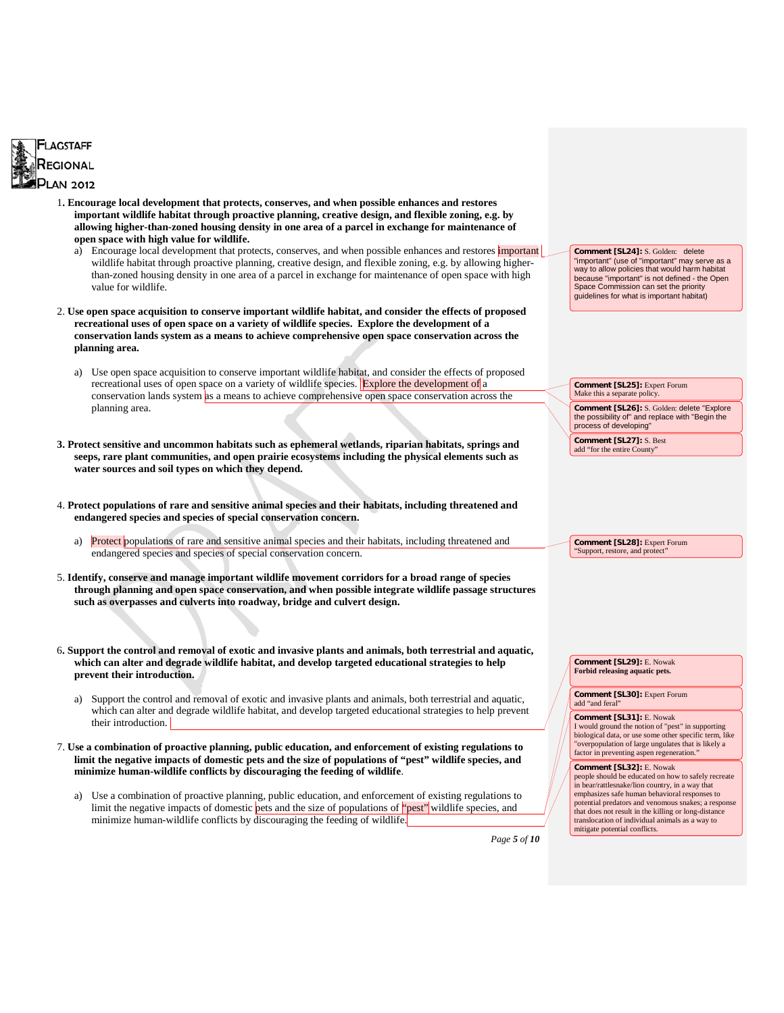

- 1**. Encourage local development that protects, conserves, and when possible enhances and restores important wildlife habitat through proactive planning, creative design, and flexible zoning, e.g. by allowing higher-than-zoned housing density in one area of a parcel in exchange for maintenance of open space with high value for wildlife.**
	- a) Encourage local development that protects, conserves, and when possible enhances and restores important wildlife habitat through proactive planning, creative design, and flexible zoning, e.g. by allowing higherthan-zoned housing density in one area of a parcel in exchange for maintenance of open space with high value for wildlife.
- 2. **Use open space acquisition to conserve important wildlife habitat, and consider the effects of proposed recreational uses of open space on a variety of wildlife species. Explore the development of a conservation lands system as a means to achieve comprehensive open space conservation across the planning area.**
	- a) Use open space acquisition to conserve important wildlife habitat, and consider the effects of proposed recreational uses of open space on a variety of wildlife species. Explore the development of a conservation lands system as a means to achieve comprehensive open space conservation across the planning area.
- **3. Protect sensitive and uncommon habitats such as ephemeral wetlands, riparian habitats, springs and seeps, rare plant communities, and open prairie ecosystems including the physical elements such as water sources and soil types on which they depend.**
- 4. **Protect populations of rare and sensitive animal species and their habitats, including threatened and endangered species and species of special conservation concern.**
	- a) Protect populations of rare and sensitive animal species and their habitats, including threatened and endangered species and species of special conservation concern.
- 5. **Identify, conserve and manage important wildlife movement corridors for a broad range of species through planning and open space conservation, and when possible integrate wildlife passage structures such as overpasses and culverts into roadway, bridge and culvert design.**
- 6**. Support the control and removal of exotic and invasive plants and animals, both terrestrial and aquatic, which can alter and degrade wildlife habitat, and develop targeted educational strategies to help prevent their introduction.**
	- a) Support the control and removal of exotic and invasive plants and animals, both terrestrial and aquatic, which can alter and degrade wildlife habitat, and develop targeted educational strategies to help prevent their introduction.
- 7. **Use a combination of proactive planning, public education, and enforcement of existing regulations to limit the negative impacts of domestic pets and the size of populations of "pest" wildlife species, and minimize human-wildlife conflicts by discouraging the feeding of wildlife**.
	- a) Use a combination of proactive planning, public education, and enforcement of existing regulations to limit the negative impacts of domestic pets and the size of populations of "pest" wildlife species, and minimize human-wildlife conflicts by discouraging the feeding of wildlife.

**Comment [SL31]:** E. Nowak I would ground the notion of "pest" in supporting

add "and feral

biological data, or use some other specific term, like "overpopulation of large ungulates that is likely a factor in preventing aspen regeneration.

**Comment [SL24]:** S. Golden: delete "important" (use of "important" may serve as a way to allow policies that would harm habitat because "important" is not defined - the Open Space Commission can set the priority guidelines for what is important habitat)

**Comment [SL25]:** Expert Forum Make this a separate policy.

**Comment [SL28]:** Expert Forum "Support, restore, and protect"

process of developing" **Comment [SL27]:** S. Best add "for the entire County"

**Comment [SL26]:** S. Golden: delete "Explore the possibility of" and replace with "Begin the

#### **Comment [SL32]:** E. Nowak

**Comment [SL29]:** E. Nowak **Forbid releasing aquatic pets. Comment [SL30]:** Expert Forum

people should be educated on how to safely recreate in bear/rattlesnake/lion country, in a way that emphasizes safe human behavioral responses to potential predators and venomous snakes; a response that does not result in the killing or long-distance translocation of individual animals as a way to mitigate potential conflicts.

*Page 5 of 10*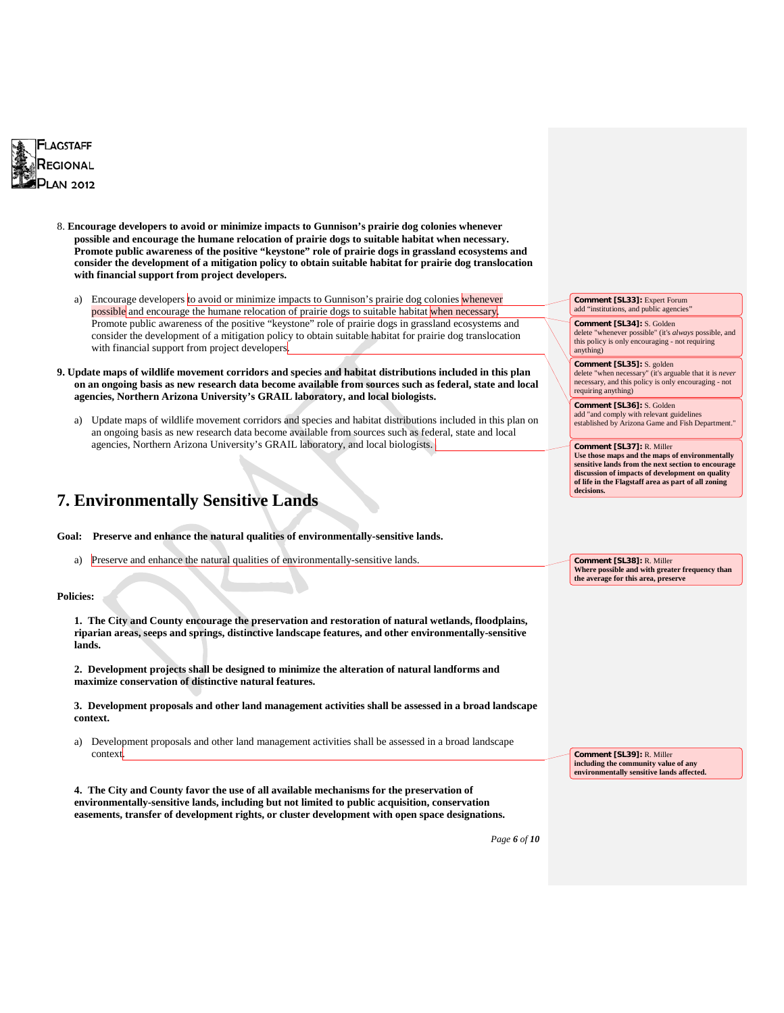

- 8. **Encourage developers to avoid or minimize impacts to Gunnison's prairie dog colonies whenever possible and encourage the humane relocation of prairie dogs to suitable habitat when necessary. Promote public awareness of the positive "keystone" role of prairie dogs in grassland ecosystems and consider the development of a mitigation policy to obtain suitable habitat for prairie dog translocation with financial support from project developers.**
	- a) Encourage developers to avoid or minimize impacts to Gunnison's prairie dog colonies whenever possible and encourage the humane relocation of prairie dogs to suitable habitat when necessary. Promote public awareness of the positive "keystone" role of prairie dogs in grassland ecosystems and consider the development of a mitigation policy to obtain suitable habitat for prairie dog translocation with financial support from project developers
- **9. Update maps of wildlife movement corridors and species and habitat distributions included in this plan on an ongoing basis as new research data become available from sources such as federal, state and local agencies, Northern Arizona University's GRAIL laboratory, and local biologists.**
	- a) Update maps of wildlife movement corridors and species and habitat distributions included in this plan on an ongoing basis as new research data become available from sources such as federal, state and local agencies, Northern Arizona University's GRAIL laboratory, and local biologists.

### **7. Environmentally Sensitive Lands**

**Goal: Preserve and enhance the natural qualities of environmentally-sensitive lands.**

a) Preserve and enhance the natural qualities of environmentally-sensitive lands.

#### **Policies:**

**1. The City and County encourage the preservation and restoration of natural wetlands, floodplains, riparian areas, seeps and springs, distinctive landscape features, and other environmentally-sensitive lands.**

**2. Development projects shall be designed to minimize the alteration of natural landforms and maximize conservation of distinctive natural features.**

**3. Development proposals and other land management activities shall be assessed in a broad landscape context.**

a) Development proposals and other land management activities shall be assessed in a broad landscape context.

**Comment [SL39]:** R. Miller **including the community value of any environmentally sensitive lands affected.**

**4. The City and County favor the use of all available mechanisms for the preservation of environmentally-sensitive lands, including but not limited to public acquisition, conservation easements, transfer of development rights, or cluster development with open space designations.**

*Page 6 of 10*

**Comment [SL33]:** Expert Forum add "institutions, and public agencies" **Comment [SL34]:** S. Golden delete "whenever possible" (it's *always* possible, and this policy is only encouraging - not requiring

anything)

**Comment [SL35]:** S. golden delete "when necessary" (it's arguable that it is *never*  necessary, and this policy is only encouraging - not requiring anything)

**Comment [SL36]:** S. Golden add "and comply with relevant guidelines established by Arizona Game and Fish Department."

**Comment [SL37]:** R. Miller **Use those maps and the maps of environmentally sensitive lands from the next section to encourage discussion of impacts of development on quality of life in the Flagstaff area as part of all zoning decisions.**

**Comment [SL38]:** R. Miller **Where possible and with greater frequency than the average for this area, preserve**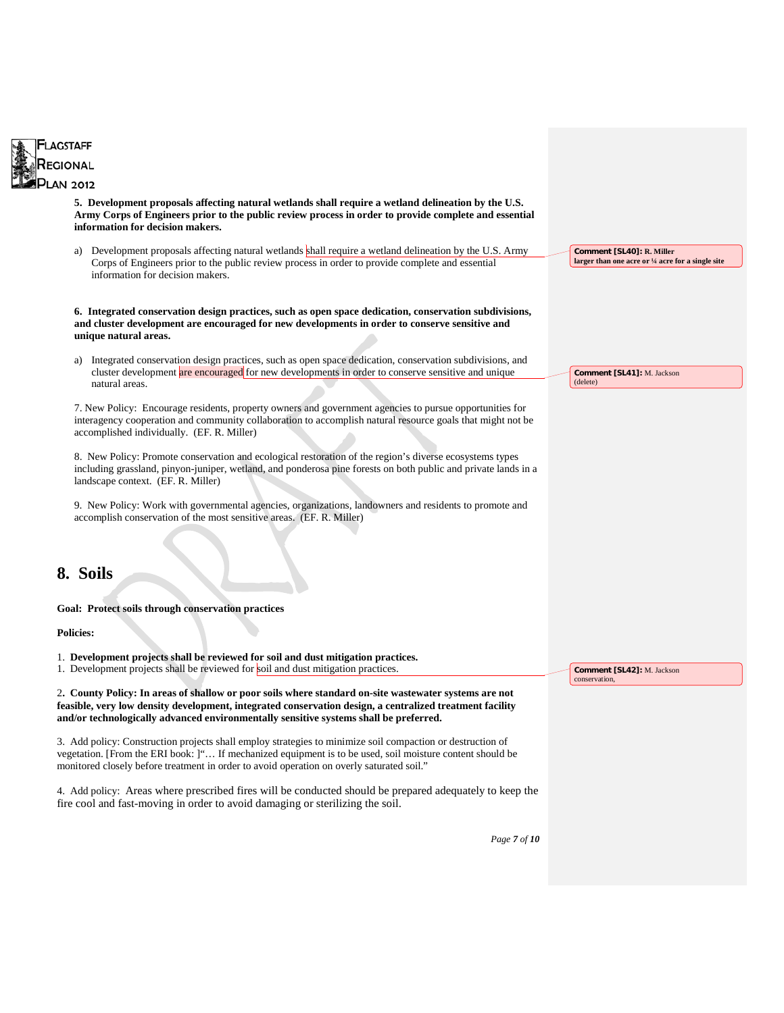

*Page 7 of 10*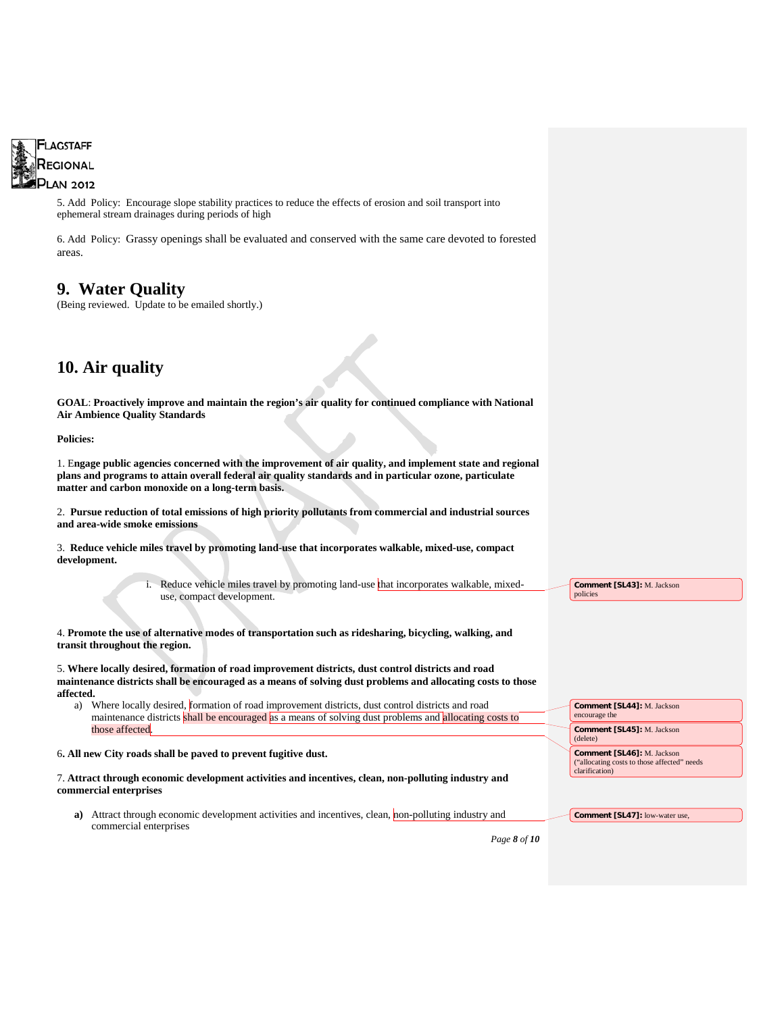

5. Add Policy: Encourage slope stability practices to reduce the effects of erosion and soil transport into ephemeral stream drainages during periods of high

6. Add Policy: Grassy openings shall be evaluated and conserved with the same care devoted to forested areas.

### **9. Water Quality**

(Being reviewed. Update to be emailed shortly.)

## **10. Air quality**

**GOAL**: **Proactively improve and maintain the region's air quality for continued compliance with National Air Ambience Quality Standards**

**Policies:**

1. E**ngage public agencies concerned with the improvement of air quality, and implement state and regional plans and programs to attain overall federal air quality standards and in particular ozone, particulate matter and carbon monoxide on a long-term basis.**

2. **Pursue reduction of total emissions of high priority pollutants from commercial and industrial sources and area-wide smoke emissions**

3. **Reduce vehicle miles travel by promoting land-use that incorporates walkable, mixed-use, compact development.**

> i. Reduce vehicle miles travel by promoting land-use that incorporates walkable, mixeduse, compact development.

4. **Promote the use of alternative modes of transportation such as ridesharing, bicycling, walking, and transit throughout the region.**

5. **Where locally desired, formation of road improvement districts, dust control districts and road maintenance districts shall be encouraged as a means of solving dust problems and allocating costs to those affected.** 

a) Where locally desired, formation of road improvement districts, dust control districts and road maintenance districts shall be encouraged as a means of solving dust problems and allocating costs to those affected.

6**. All new City roads shall be paved to prevent fugitive dust.**

7. **Attract through economic development activities and incentives, clean, non-polluting industry and commercial enterprises**

**a**) Attract through economic development activities and incentives, clean, non-polluting industry and commercial enterprises **Comment [SL47]:** low-water use,

*Page 8 of 10*

**Comment [SL43]:** M. Jackson

**Comment [SL44]:** M. Jackson

**Comment [SL45]:** M. Jackson

**Comment [SL46]:** M. Jackson ("allocating costs to those affected" needs

policies

encourage the

clarification)

(delete)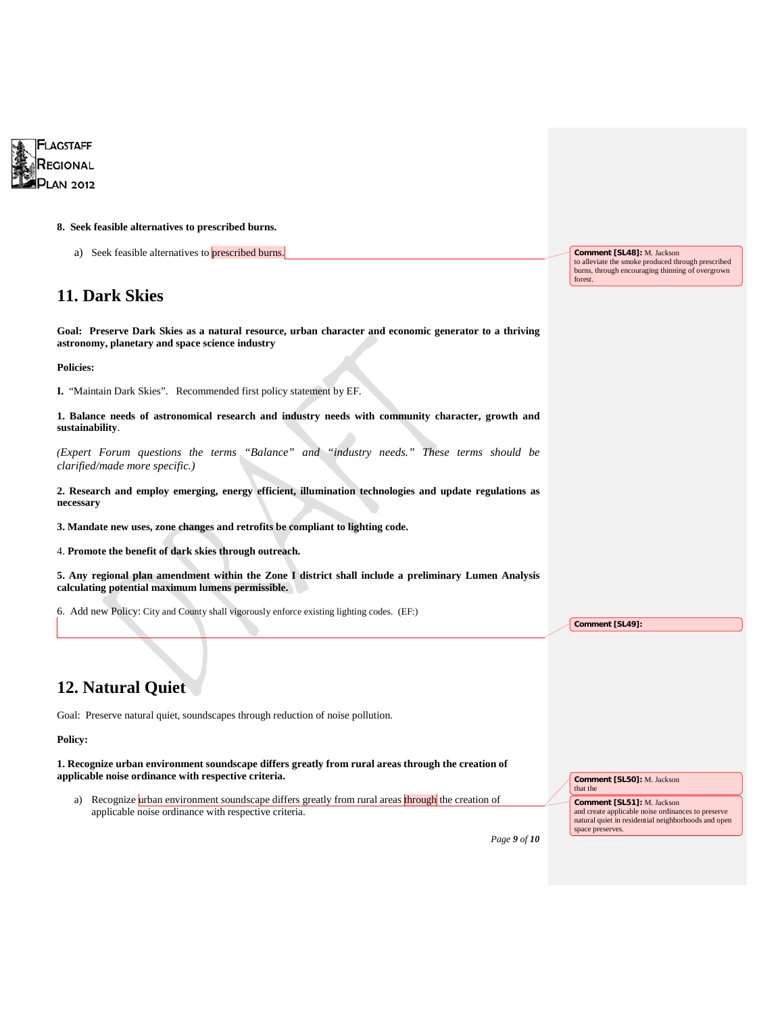

#### **8. Seek feasible alternatives to prescribed burns.**

a) Seek feasible alternatives to **prescribed burns**.

### **11. Dark Skies**

**Goal: Preserve Dark Skies as a natural resource, urban character and economic generator to a thriving astronomy, planetary and space science industry**

**Policies:** 

**I.** "Maintain Dark Skies". Recommended first policy statement by EF.

**1. Balance needs of astronomical research and industry needs with community character, growth and sustainability**.

*(Expert Forum questions the terms "Balance" and "industry needs." These terms should be clarified/made more specific.)*

**2. Research and employ emerging, energy efficient, illumination technologies and update regulations as necessary** 

**3. Mandate new uses, zone changes and retrofits be compliant to lighting code.**

4. **Promote the benefit of dark skies through outreach.**

**5. Any regional plan amendment within the Zone I district shall include a preliminary Lumen Analysis calculating potential maximum lumens permissible.**

6. Add new Policy: City and County shall vigorously enforce existing lighting codes. (EF:)

### **12. Natural Quiet**

Goal: Preserve natural quiet, soundscapes through reduction of noise pollution.

#### **Policy:**

**1. Recognize urban environment soundscape differs greatly from rural areas through the creation of applicable noise ordinance with respective criteria.**

a) Recognize urban environment soundscape differs greatly from rural areas through the creation of applicable noise ordinance with respective criteria.

**Comment [SL48]:** M. Jackson to alleviate the smoke produced through prescribed burns, through encouraging thinning of overgrown forest.

*Page 9 of 10*

**Comment [SL49]:** 

**Comment [SL50]:** M. Jackson

**Comment [SL51]:** M. Jackson

and create applicable noise ordinances to preserve natural quiet in residential neighborhoods and open

that the

space preserves.